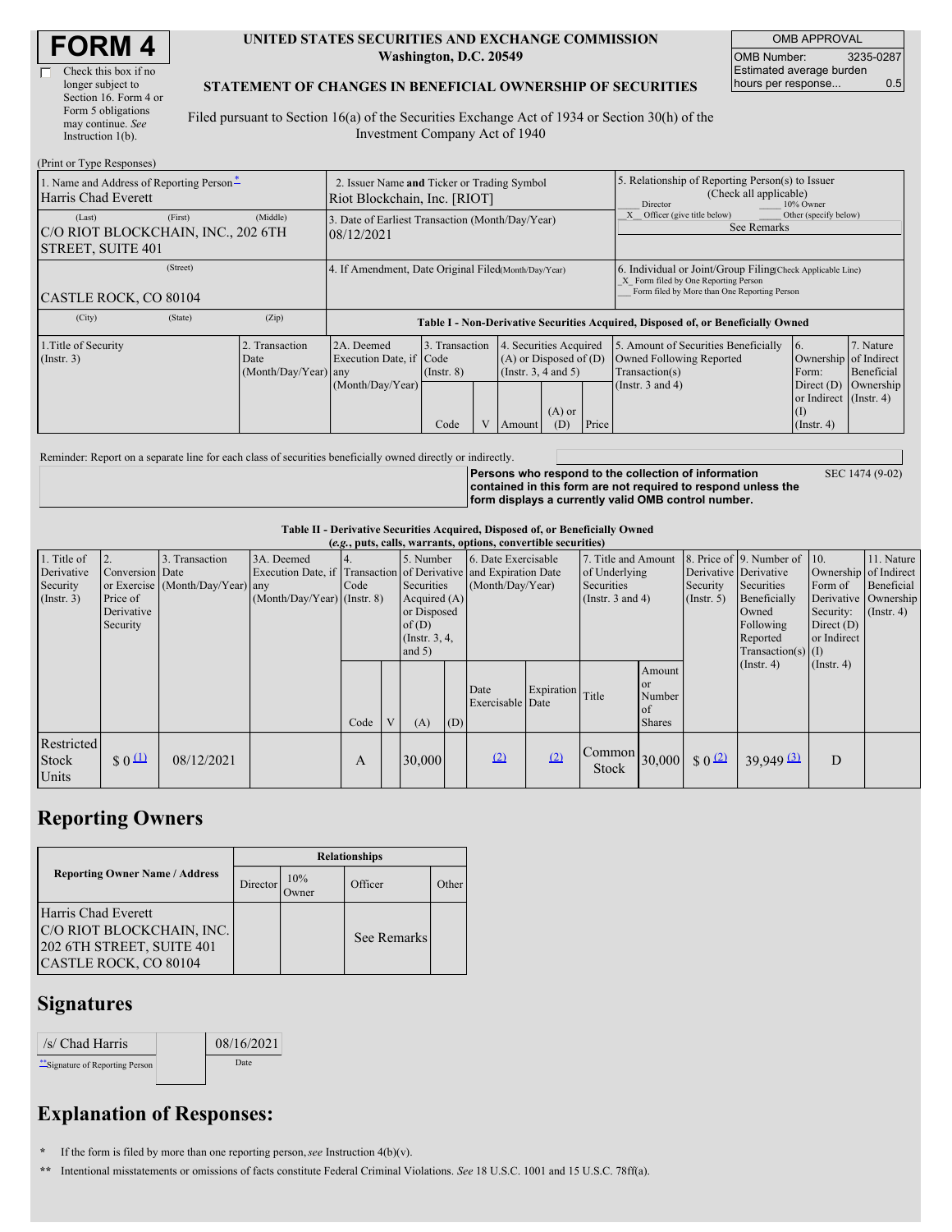| <b>FORM 4</b> |  |
|---------------|--|
|---------------|--|

### **UNITED STATES SECURITIES AND EXCHANGE COMMISSION Washington, D.C. 20549**

OMB APPROVAL OMB Number: 3235-0287 Estimated average burden hours per response... 0.5

### **STATEMENT OF CHANGES IN BENEFICIAL OWNERSHIP OF SECURITIES**

Filed pursuant to Section 16(a) of the Securities Exchange Act of 1934 or Section 30(h) of the Investment Company Act of 1940

| (Print or Type Responses)                                                    |                                                                             |                                                                                  |                                                                                                                                                        |  |       |                                                                                                             |                                                                                                                          |                                                                                                                                                    |  |  |  |
|------------------------------------------------------------------------------|-----------------------------------------------------------------------------|----------------------------------------------------------------------------------|--------------------------------------------------------------------------------------------------------------------------------------------------------|--|-------|-------------------------------------------------------------------------------------------------------------|--------------------------------------------------------------------------------------------------------------------------|----------------------------------------------------------------------------------------------------------------------------------------------------|--|--|--|
| 1. Name and Address of Reporting Person*<br>Harris Chad Everett              | 2. Issuer Name and Ticker or Trading Symbol<br>Riot Blockchain, Inc. [RIOT] |                                                                                  |                                                                                                                                                        |  |       |                                                                                                             | 5. Relationship of Reporting Person(s) to Issuer<br>(Check all applicable)<br>10% Owner<br>Director                      |                                                                                                                                                    |  |  |  |
| (First)<br>(Last)<br>C/O RIOT BLOCKCHAIN, INC., 202 6TH<br>STREET, SUITE 401 | (Middle)                                                                    | 3. Date of Earliest Transaction (Month/Day/Year)<br>08/12/2021                   |                                                                                                                                                        |  |       |                                                                                                             | X Officer (give title below)<br>Other (specify below)<br>See Remarks                                                     |                                                                                                                                                    |  |  |  |
| (Street)<br>CASTLE ROCK, CO 80104                                            |                                                                             | 4. If Amendment, Date Original Filed(Month/Day/Year)                             |                                                                                                                                                        |  |       |                                                                                                             |                                                                                                                          | 6. Individual or Joint/Group Filing Check Applicable Line)<br>X Form filed by One Reporting Person<br>Form filed by More than One Reporting Person |  |  |  |
| (City)<br>(State)                                                            | (Zip)                                                                       | Table I - Non-Derivative Securities Acquired, Disposed of, or Beneficially Owned |                                                                                                                                                        |  |       |                                                                                                             |                                                                                                                          |                                                                                                                                                    |  |  |  |
| 1. Title of Security<br>$($ Instr. 3 $)$                                     | 2. Transaction<br>Date<br>$(Month/Day/Year)$ any                            | 2A. Deemed<br>Execution Date, if Code<br>(Month/Day/Year)                        | 3. Transaction<br>4. Securities Acquired<br>$(A)$ or Disposed of $(D)$<br>(Insert. 3, 4 and 5)<br>$($ Instr. $8)$<br>$(A)$ or<br>Code<br>(D)<br>Amount |  | Price | 5. Amount of Securities Beneficially<br>Owned Following Reported<br>Transaction(s)<br>(Instr. $3$ and $4$ ) | 16.<br>Ownership of Indirect<br>Form:<br>Direct $(D)$<br>or Indirect (Instr. 4)<br>$\left($ $\Gamma$<br>$($ Instr. 4 $)$ | 7. Nature<br>Beneficial<br>Ownership                                                                                                               |  |  |  |

Reminder: Report on a separate line for each class of securities beneficially owned directly or indirectly.

**Persons who respond to the collection of information contained in this form are not required to respond unless the form displays a currently valid OMB control number.**

SEC 1474 (9-02)

### **Table II - Derivative Securities Acquired, Disposed of, or Beneficially Owned**

| (e.g., puts, calls, warrants, options, convertible securities) |                                                       |                                                    |                                             |      |  |                                                                                                     |     |                                                                                                             |                  |                                                                                    |                                                                 |                              |                                                                                       |                  |                                                                      |                                                                                                      |                                           |
|----------------------------------------------------------------|-------------------------------------------------------|----------------------------------------------------|---------------------------------------------|------|--|-----------------------------------------------------------------------------------------------------|-----|-------------------------------------------------------------------------------------------------------------|------------------|------------------------------------------------------------------------------------|-----------------------------------------------------------------|------------------------------|---------------------------------------------------------------------------------------|------------------|----------------------------------------------------------------------|------------------------------------------------------------------------------------------------------|-------------------------------------------|
| 1. Title of<br>Derivative<br>Security<br>(Insert. 3)           | Conversion Date<br>Price of<br>Derivative<br>Security | 3. Transaction<br>or Exercise (Month/Day/Year) any | 3A. Deemed<br>$(Month/Day/Year)$ (Instr. 8) | Code |  | 5. Number<br>Securities<br>Acquired $(A)$<br>or Disposed<br>of(D)<br>$($ Instr. $3, 4,$<br>and $5)$ |     | 6. Date Exercisable<br>Execution Date, if Transaction of Derivative and Expiration Date<br>(Month/Day/Year) |                  | 7. Title and Amount<br>of Underlying<br><b>Securities</b><br>(Instr. $3$ and $4$ ) |                                                                 | Security<br>$($ Instr. 5 $)$ | Derivative Derivative<br>Securities<br>Beneficially<br>Owned<br>Following<br>Reported |                  | 8. Price of $\vert$ 9. Number of $\vert$ 10.<br>$Transaction(s)$ (I) | Ownership of Indirect<br>Form of<br>Derivative Ownership<br>Security:<br>Direct $(D)$<br>or Indirect | 11. Nature<br>Beneficial<br>$($ Instr. 4) |
|                                                                |                                                       |                                                    |                                             | Code |  | (A)                                                                                                 | (D) | Date<br>Exercisable Date                                                                                    | Expiration Title |                                                                                    | Amount<br><b>or</b><br>Number<br><sub>of</sub><br><b>Shares</b> |                              | $($ Instr. 4)                                                                         | $($ Instr. 4 $)$ |                                                                      |                                                                                                      |                                           |
| Restricted<br>Stock<br>Units                                   | $\frac{1}{2}$ 0 $\frac{11}{2}$                        | 08/12/2021                                         |                                             | A    |  | 30,000                                                                                              |     | (2)                                                                                                         | (2)              | $\vert$ Common $\vert$ 30,000 $\vert$<br><b>Stock</b>                              |                                                                 | $\frac{1}{2}$ 0 (2)          | $39,949$ $\underline{31}$                                                             | D                |                                                                      |                                                                                                      |                                           |

## **Reporting Owners**

|                                                                                                        | <b>Relationships</b> |              |             |       |  |  |  |  |
|--------------------------------------------------------------------------------------------------------|----------------------|--------------|-------------|-------|--|--|--|--|
| <b>Reporting Owner Name / Address</b>                                                                  | Director             | 10%<br>Owner | Officer     | Other |  |  |  |  |
| Harris Chad Everett<br>C/O RIOT BLOCKCHAIN, INC.<br>202 6TH STREET, SUITE 401<br>CASTLE ROCK, CO 80104 |                      |              | See Remarks |       |  |  |  |  |

# **Signatures**

| /s/ Chad Harris                | 08/16/2021 |
|--------------------------------|------------|
| "Signature of Reporting Person | Date       |

# **Explanation of Responses:**

**\*** If the form is filed by more than one reporting person,*see* Instruction 4(b)(v).

**\*\*** Intentional misstatements or omissions of facts constitute Federal Criminal Violations. *See* 18 U.S.C. 1001 and 15 U.S.C. 78ff(a).